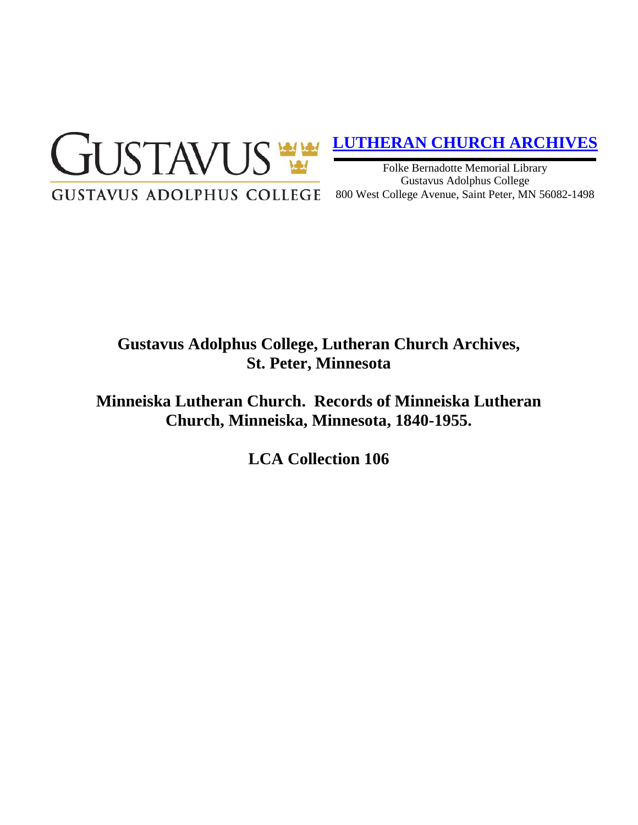

# **[LUTHERAN CHURCH ARCHIVES](http://gustavus.edu/academics/library/archives/)**

Folke Bernadotte Memorial Library Gustavus Adolphus College 800 West College Avenue, Saint Peter, MN 56082-1498

# **Gustavus Adolphus College, Lutheran Church Archives, St. Peter, Minnesota**

**Minneiska Lutheran Church. Records of Minneiska Lutheran Church, Minneiska, Minnesota, 1840-1955.**

**LCA Collection 106**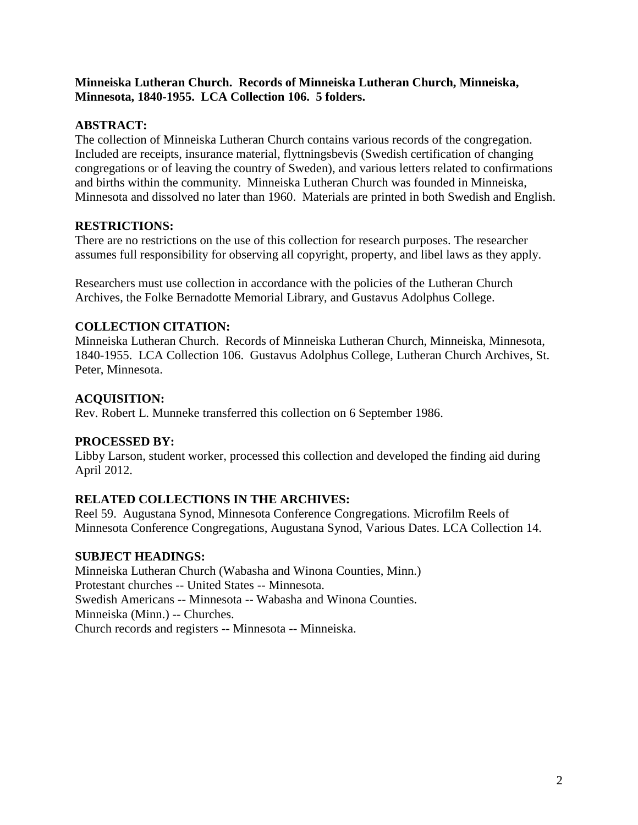#### **Minneiska Lutheran Church. Records of Minneiska Lutheran Church, Minneiska, Minnesota, 1840-1955. LCA Collection 106. 5 folders.**

## **ABSTRACT:**

The collection of Minneiska Lutheran Church contains various records of the congregation. Included are receipts, insurance material, flyttningsbevis (Swedish certification of changing congregations or of leaving the country of Sweden), and various letters related to confirmations and births within the community. Minneiska Lutheran Church was founded in Minneiska, Minnesota and dissolved no later than 1960. Materials are printed in both Swedish and English.

### **RESTRICTIONS:**

There are no restrictions on the use of this collection for research purposes. The researcher assumes full responsibility for observing all copyright, property, and libel laws as they apply.

Researchers must use collection in accordance with the policies of the Lutheran Church Archives, the Folke Bernadotte Memorial Library, and Gustavus Adolphus College.

### **COLLECTION CITATION:**

Minneiska Lutheran Church. Records of Minneiska Lutheran Church, Minneiska, Minnesota, 1840-1955. LCA Collection 106. Gustavus Adolphus College, Lutheran Church Archives, St. Peter, Minnesota.

### **ACQUISITION:**

Rev. Robert L. Munneke transferred this collection on 6 September 1986.

#### **PROCESSED BY:**

Libby Larson, student worker, processed this collection and developed the finding aid during April 2012.

## **RELATED COLLECTIONS IN THE ARCHIVES:**

Reel 59. Augustana Synod, Minnesota Conference Congregations. Microfilm Reels of Minnesota Conference Congregations, Augustana Synod, Various Dates. LCA Collection 14.

#### **SUBJECT HEADINGS:**

Minneiska Lutheran Church (Wabasha and Winona Counties, Minn.) Protestant churches -- United States -- Minnesota. Swedish Americans -- Minnesota -- Wabasha and Winona Counties. Minneiska (Minn.) -- Churches. Church records and registers -- Minnesota -- Minneiska.